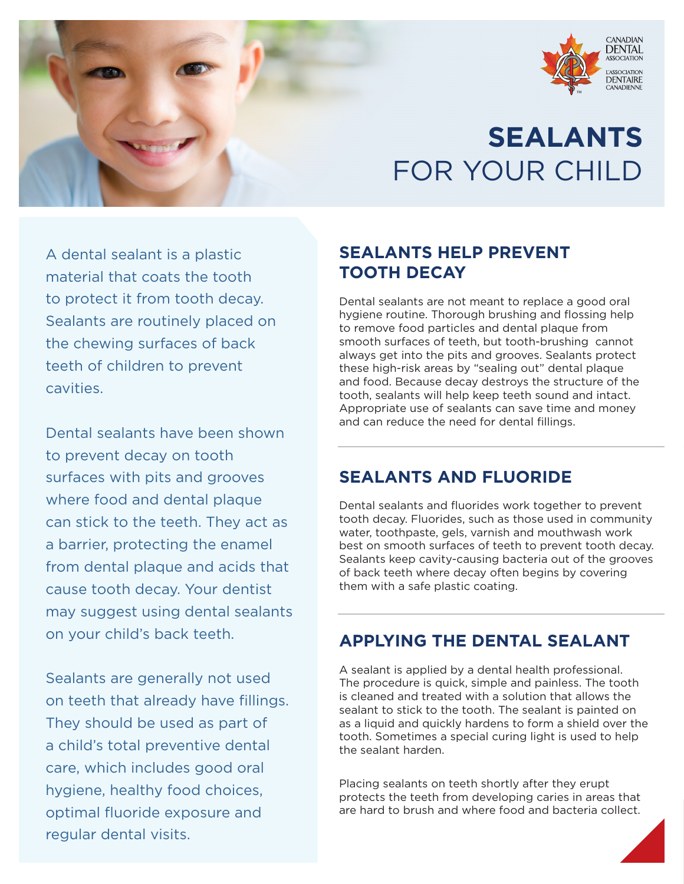

# **SEALANTS** FOR YOUR CHILD

A dental sealant is a plastic material that coats the tooth to protect it from tooth decay. Sealants are routinely placed on the chewing surfaces of back teeth of children to prevent cavities.

Dental sealants have been shown to prevent decay on tooth surfaces with pits and grooves where food and dental plaque can stick to the teeth. They act as a barrier, protecting the enamel from dental plaque and acids that cause tooth decay. Your dentist may suggest using dental sealants on your child's back teeth.

Sealants are generally not used on teeth that already have fillings. They should be used as part of a child's total preventive dental care, which includes good oral hygiene, healthy food choices, optimal fluoride exposure and regular dental visits.

#### **SEALANTS HELP PREVENT TOOTH DECAY**

Dental sealants are not meant to replace a good oral hygiene routine. Thorough brushing and flossing help to remove food particles and dental plaque from smooth surfaces of teeth, but tooth-brushing cannot always get into the pits and grooves. Sealants protect these high-risk areas by "sealing out" dental plaque and food. Because decay destroys the structure of the tooth, sealants will help keep teeth sound and intact. Appropriate use of sealants can save time and money and can reduce the need for dental fillings.

#### **SEALANTS AND FLUORIDE**

Dental sealants and fluorides work together to prevent tooth decay. Fluorides, such as those used in community water, toothpaste, gels, varnish and mouthwash work best on smooth surfaces of teeth to prevent tooth decay. Sealants keep cavity-causing bacteria out of the grooves of back teeth where decay often begins by covering them with a safe plastic coating.

#### **APPLYING THE DENTAL SEALANT**

A sealant is applied by a dental health professional. The procedure is quick, simple and painless. The tooth is cleaned and treated with a solution that allows the sealant to stick to the tooth. The sealant is painted on as a liquid and quickly hardens to form a shield over the tooth. Sometimes a special curing light is used to help the sealant harden.

Placing sealants on teeth shortly after they erupt protects the teeth from developing caries in areas that are hard to brush and where food and bacteria collect.